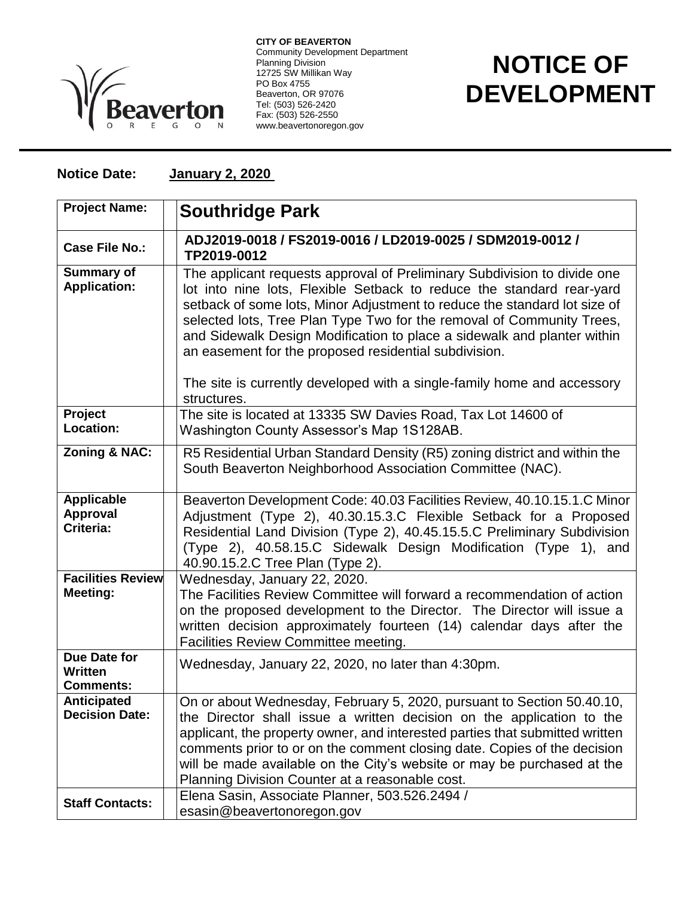

**CITY OF BEAVERTON** Community Development Department Planning Division 12725 SW Millikan Way PO Box 4755 Beaverton, OR 97076 Tel: (503) 526-2420 Fax: (503) 526-2550 www.beavertonoregon.gov

## **NOTICE OF DEVELOPMENT**

## **Notice Date: January 2, 2020**

| <b>Project Name:</b>                               | <b>Southridge Park</b>                                                                                                                                                                                                                                                                                                                                                                                                                                                                                                                |
|----------------------------------------------------|---------------------------------------------------------------------------------------------------------------------------------------------------------------------------------------------------------------------------------------------------------------------------------------------------------------------------------------------------------------------------------------------------------------------------------------------------------------------------------------------------------------------------------------|
| <b>Case File No.:</b>                              | ADJ2019-0018 / FS2019-0016 / LD2019-0025 / SDM2019-0012 /<br>TP2019-0012                                                                                                                                                                                                                                                                                                                                                                                                                                                              |
| <b>Summary of</b><br><b>Application:</b>           | The applicant requests approval of Preliminary Subdivision to divide one<br>lot into nine lots, Flexible Setback to reduce the standard rear-yard<br>setback of some lots, Minor Adjustment to reduce the standard lot size of<br>selected lots, Tree Plan Type Two for the removal of Community Trees,<br>and Sidewalk Design Modification to place a sidewalk and planter within<br>an easement for the proposed residential subdivision.<br>The site is currently developed with a single-family home and accessory<br>structures. |
| Project<br>Location:                               | The site is located at 13335 SW Davies Road, Tax Lot 14600 of<br>Washington County Assessor's Map 1S128AB.                                                                                                                                                                                                                                                                                                                                                                                                                            |
| <b>Zoning &amp; NAC:</b>                           | R5 Residential Urban Standard Density (R5) zoning district and within the<br>South Beaverton Neighborhood Association Committee (NAC).                                                                                                                                                                                                                                                                                                                                                                                                |
| <b>Applicable</b><br>Approval<br>Criteria:         | Beaverton Development Code: 40.03 Facilities Review, 40.10.15.1.C Minor<br>Adjustment (Type 2), 40.30.15.3.C Flexible Setback for a Proposed<br>Residential Land Division (Type 2), 40.45.15.5.C Preliminary Subdivision<br>(Type 2), 40.58.15.C Sidewalk Design Modification (Type 1), and<br>40.90.15.2.C Tree Plan (Type 2).                                                                                                                                                                                                       |
| <b>Facilities Review</b><br>Meeting:               | Wednesday, January 22, 2020.<br>The Facilities Review Committee will forward a recommendation of action<br>on the proposed development to the Director. The Director will issue a<br>written decision approximately fourteen (14) calendar days after the<br><b>Facilities Review Committee meeting.</b>                                                                                                                                                                                                                              |
| Due Date for<br><b>Written</b><br><b>Comments:</b> | Wednesday, January 22, 2020, no later than 4:30pm.                                                                                                                                                                                                                                                                                                                                                                                                                                                                                    |
| Anticipated<br><b>Decision Date:</b>               | On or about Wednesday, February 5, 2020, pursuant to Section 50.40.10,<br>the Director shall issue a written decision on the application to the<br>applicant, the property owner, and interested parties that submitted written<br>comments prior to or on the comment closing date. Copies of the decision<br>will be made available on the City's website or may be purchased at the<br>Planning Division Counter at a reasonable cost.                                                                                             |
| <b>Staff Contacts:</b>                             | Elena Sasin, Associate Planner, 503.526.2494 /<br>esasin@beavertonoregon.gov                                                                                                                                                                                                                                                                                                                                                                                                                                                          |